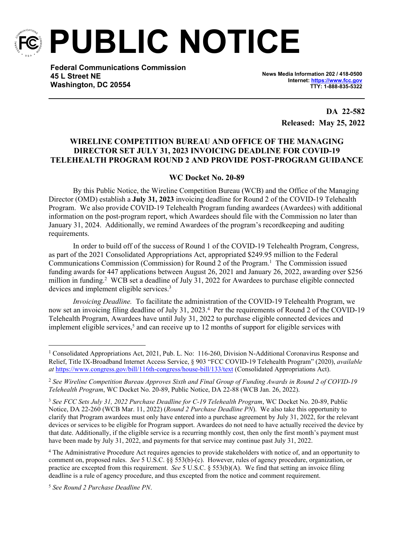

**PUBLIC NOTICE**

**Federal Communications Commission 45 L Street NE Washington, DC 20554**

**News Media Information 202 / 418-0500 Internet:<https://www.fcc.gov> TTY: 1-888-835-5322**

> **DA 22-582 Released: May 25, 2022**

# **WIRELINE COMPETITION BUREAU AND OFFICE OF THE MANAGING DIRECTOR SET JULY 31, 2023 INVOICING DEADLINE FOR COVID-19 TELEHEALTH PROGRAM ROUND 2 AND PROVIDE POST-PROGRAM GUIDANCE**

# **WC Docket No. 20-89**

By this Public Notice, the Wireline Competition Bureau (WCB) and the Office of the Managing Director (OMD) establish a **July 31, 2023** invoicing deadline for Round 2 of the COVID-19 Telehealth Program. We also provide COVID-19 Telehealth Program funding awardees (Awardees) with additional information on the post-program report, which Awardees should file with the Commission no later than January 31, 2024. Additionally, we remind Awardees of the program's recordkeeping and auditing requirements.

In order to build off of the success of Round 1 of the COVID-19 Telehealth Program, Congress, as part of the 2021 Consolidated Appropriations Act, appropriated \$249.95 million to the Federal Communications Commission (Commission) for Round 2 of the Program.<sup>1</sup> The Commission issued funding awards for 447 applications between August 26, 2021 and January 26, 2022, awarding over \$256 million in funding.<sup>2</sup> WCB set a deadline of July 31, 2022 for Awardees to purchase eligible connected devices and implement eligible services.<sup>3</sup>

*Invoicing Deadline.* To facilitate the administration of the COVID-19 Telehealth Program, we now set an invoicing filing deadline of July 31, 2023.<sup>4</sup> Per the requirements of Round 2 of the COVID-19 Telehealth Program, Awardees have until July 31, 2022 to purchase eligible connected devices and implement eligible services, $5$  and can receive up to 12 months of support for eligible services with

<sup>&</sup>lt;sup>1</sup> Consolidated Appropriations Act, 2021, Pub. L. No: 116-260, Division N-Additional Coronavirus Response and Relief, Title IX-Broadband Internet Access Service, § 903 "FCC COVID-19 Telehealth Program" (2020), *available at* <https://www.congress.gov/bill/116th-congress/house-bill/133/text> (Consolidated Appropriations Act).

<sup>2</sup> *See Wireline Competition Bureau Approves Sixth and Final Group of Funding Awards in Round 2 of COVID-19 Telehealth Program*, WC Docket No. 20-89, Public Notice, DA 22-88 (WCB Jan. 26, 2022).

<sup>3</sup> *See FCC Sets July 31, 2022 Purchase Deadline for C-19 Telehealth Program*, WC Docket No. 20-89, Public Notice, DA 22-260 (WCB Mar. 11, 2022) (*Round 2 Purchase Deadline PN*). We also take this opportunity to clarify that Program awardees must only have entered into a purchase agreement by July 31, 2022, for the relevant devices or services to be eligible for Program support. Awardees do not need to have actually received the device by that date. Additionally, if the eligible service is a recurring monthly cost, then only the first month's payment must have been made by July 31, 2022, and payments for that service may continue past July 31, 2022.

<sup>4</sup> The Administrative Procedure Act requires agencies to provide stakeholders with notice of, and an opportunity to comment on, proposed rules. *See* 5 U.S.C. §§ 553(b)-(c). However, rules of agency procedure, organization, or practice are excepted from this requirement. *See* 5 U.S.C. § 553(b)(A). We find that setting an invoice filing deadline is a rule of agency procedure, and thus excepted from the notice and comment requirement.

<sup>5</sup> *See Round 2 Purchase Deadline PN*.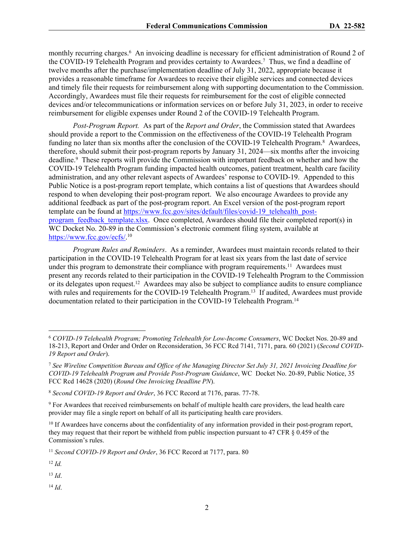monthly recurring charges.<sup>6</sup> An invoicing deadline is necessary for efficient administration of Round 2 of the COVID-19 Telehealth Program and provides certainty to Awardees.<sup>7</sup> Thus, we find a deadline of twelve months after the purchase/implementation deadline of July 31, 2022, appropriate because it provides a reasonable timeframe for Awardees to receive their eligible services and connected devices and timely file their requests for reimbursement along with supporting documentation to the Commission. Accordingly, Awardees must file their requests for reimbursement for the cost of eligible connected devices and/or telecommunications or information services on or before July 31, 2023, in order to receive reimbursement for eligible expenses under Round 2 of the COVID-19 Telehealth Program.

*Post-Program Report.* As part of the *Report and Order*, the Commission stated that Awardees should provide a report to the Commission on the effectiveness of the COVID-19 Telehealth Program funding no later than six months after the conclusion of the COVID-19 Telehealth Program.<sup>8</sup> Awardees, therefore, should submit their post-program reports by January 31, 2024—six months after the invoicing deadline.<sup>9</sup> These reports will provide the Commission with important feedback on whether and how the COVID-19 Telehealth Program funding impacted health outcomes, patient treatment, health care facility administration, and any other relevant aspects of Awardees' response to COVID-19. Appended to this Public Notice is a post-program report template, which contains a list of questions that Awardees should respond to when developing their post-program report. We also encourage Awardees to provide any additional feedback as part of the post-program report. An Excel version of the post-program report template can be found at [https://www.fcc.gov/sites/default/files/covid-19\\_telehealth\\_post](https://www.fcc.gov/sites/default/files/covid-19_telehealth_post-program_feedback_template.xlsx)program feedback template.xlsx. Once completed, Awardees should file their completed report(s) in WC Docket No. 20-89 in the Commission's electronic comment filing system, available at [https://www.fcc.gov/ecfs/.](https://www.fcc.gov/ecfs/)<sup>10</sup>

*Program Rules and Reminders*. As a reminder, Awardees must maintain records related to their participation in the COVID-19 Telehealth Program for at least six years from the last date of service under this program to demonstrate their compliance with program requirements.<sup>11</sup> Awardees must present any records related to their participation in the COVID-19 Telehealth Program to the Commission or its delegates upon request.<sup>12</sup> Awardees may also be subject to compliance audits to ensure compliance with rules and requirements for the COVID-19 Telehealth Program.<sup>13</sup> If audited, Awardees must provide documentation related to their participation in the COVID-19 Telehealth Program.<sup>14</sup>

<sup>11</sup> *Second COVID-19 Report and Order*, 36 FCC Record at 7177, para. 80

<sup>12</sup> *Id.*

<sup>13</sup> *Id*.

<sup>14</sup> *Id*.

<sup>6</sup> *COVID-19 Telehealth Program; Promoting Telehealth for Low-Income Consumers*, WC Docket Nos. 20-89 and 18-213, Report and Order and Order on Reconsideration, 36 FCC Rcd 7141, 7171, para. 60 (2021) (*Second COVID-19 Report and Order*).

<sup>7</sup> *See Wireline Competition Bureau and Office of the Managing Director Set July 31, 2021 Invoicing Deadline for COVID-19 Telehealth Program and Provide Post-Program Guidance*, WC Docket No. 20-89, Public Notice, 35 FCC Rcd 14628 (2020) (*Round One Invoicing Deadline PN*).

<sup>8</sup> *Second COVID-19 Report and Order*, 36 FCC Record at 7176, paras. 77-78.

<sup>9</sup> For Awardees that received reimbursements on behalf of multiple health care providers, the lead health care provider may file a single report on behalf of all its participating health care providers.

<sup>&</sup>lt;sup>10</sup> If Awardees have concerns about the confidentiality of any information provided in their post-program report, they may request that their report be withheld from public inspection pursuant to 47 CFR § 0.459 of the Commission's rules.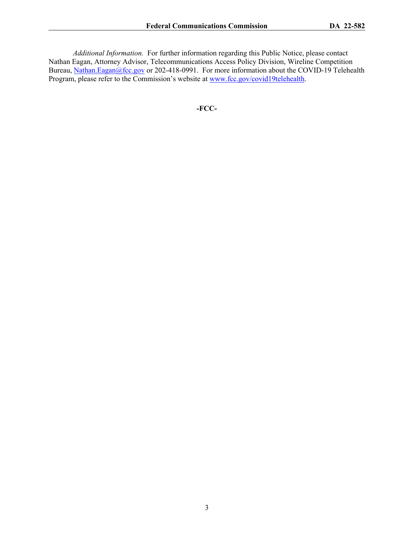*Additional Information.* For further information regarding this Public Notice, please contact Nathan Eagan, Attorney Advisor, Telecommunications Access Policy Division, Wireline Competition Bureau, [Nathan.Eagan@fcc.gov](mailto:Nathan.Eagan@fcc.gov) or 202-418-0991. For more information about the COVID-19 Telehealth Program, please refer to the Commission's website at [www.fcc.gov/covid19telehealth](http://www.fcc.gov/covid19telehealth).

**-FCC-**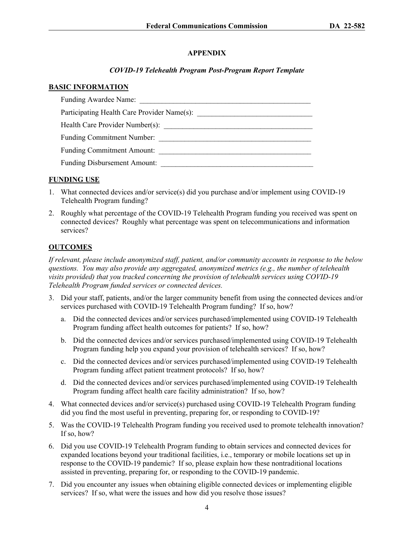### **APPENDIX**

### *COVID-19 Telehealth Program Post-Program Report Template*

#### **BASIC INFORMATION**

| Funding Awardee Name:                       |
|---------------------------------------------|
| Participating Health Care Provider Name(s): |
| Health Care Provider Number(s):             |
| <b>Funding Commitment Number:</b>           |
| <b>Funding Commitment Amount:</b>           |
| <b>Funding Disbursement Amount:</b>         |

### **FUNDING USE**

- 1. What connected devices and/or service(s) did you purchase and/or implement using COVID-19 Telehealth Program funding?
- 2. Roughly what percentage of the COVID-19 Telehealth Program funding you received was spent on connected devices? Roughly what percentage was spent on telecommunications and information services?

# **OUTCOMES**

*If relevant, please include anonymized staff, patient, and/or community accounts in response to the below questions. You may also provide any aggregated, anonymized metrics (e.g., the number of telehealth visits provided) that you tracked concerning the provision of telehealth services using COVID-19 Telehealth Program funded services or connected devices.*

- 3. Did your staff, patients, and/or the larger community benefit from using the connected devices and/or services purchased with COVID-19 Telehealth Program funding? If so, how?
	- a. Did the connected devices and/or services purchased/implemented using COVID-19 Telehealth Program funding affect health outcomes for patients? If so, how?
	- b. Did the connected devices and/or services purchased/implemented using COVID-19 Telehealth Program funding help you expand your provision of telehealth services? If so, how?
	- c. Did the connected devices and/or services purchased/implemented using COVID-19 Telehealth Program funding affect patient treatment protocols? If so, how?
	- d. Did the connected devices and/or services purchased/implemented using COVID-19 Telehealth Program funding affect health care facility administration? If so, how?
- 4. What connected devices and/or service(s) purchased using COVID-19 Telehealth Program funding did you find the most useful in preventing, preparing for, or responding to COVID-19?
- 5. Was the COVID-19 Telehealth Program funding you received used to promote telehealth innovation? If so, how?
- 6. Did you use COVID-19 Telehealth Program funding to obtain services and connected devices for expanded locations beyond your traditional facilities, i.e., temporary or mobile locations set up in response to the COVID-19 pandemic? If so, please explain how these nontraditional locations assisted in preventing, preparing for, or responding to the COVID-19 pandemic.
- 7. Did you encounter any issues when obtaining eligible connected devices or implementing eligible services? If so, what were the issues and how did you resolve those issues?